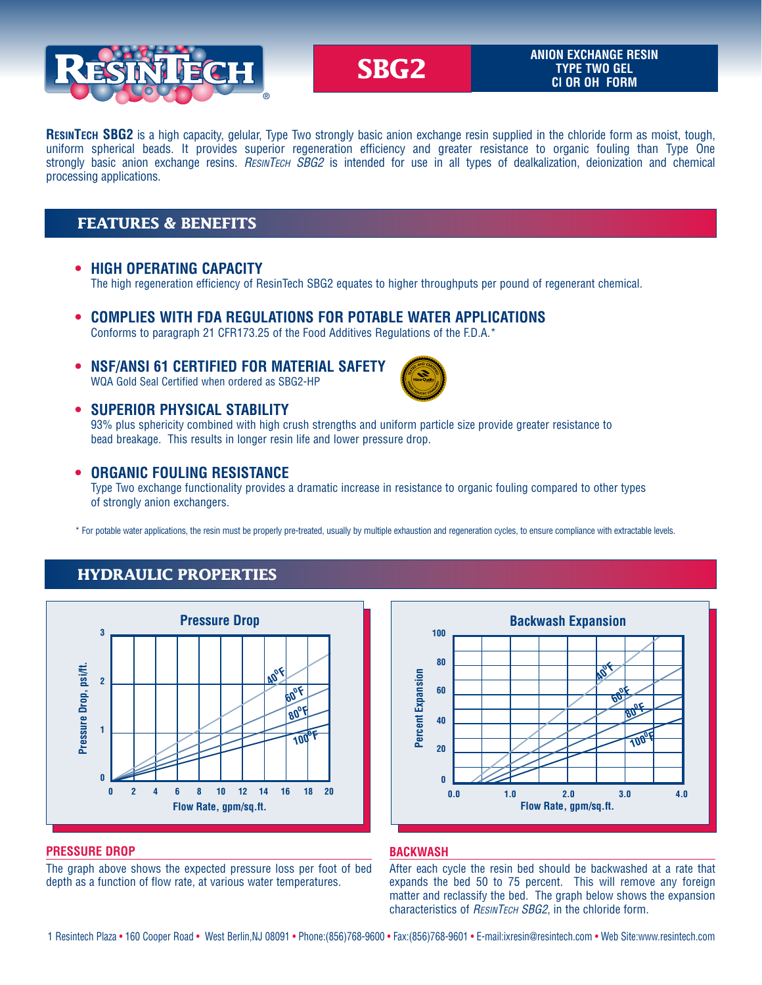

#### **SBG2 ANION EXCHANGE RESIN TYPE TWO GEL Cl OR OH FORM**

**ResinTech SBG2** is a high capacity, gelular, Type Two strongly basic anion exchange resin supplied in the chloride form as moist, tough, uniform spherical beads. It provides superior regeneration efficiency and greater resistance to organic fouling than Type One strongly basic anion exchange resins. *ResinTech SBG2* is intended for use in all types of dealkalization, deionization and chemical processing applications.

### **FEATURES & BENEFITS**

 **• HIGH OPERATING CAPACITY**

The high regeneration efficiency of ResinTech SBG2 equates to higher throughputs per pound of regenerant chemical.

- **• COMPLIES WITH FDA REGULATIONS FOR POTABLE WATER APPLICATIONS** Conforms to paragraph 21 CFR173.25 of the Food Additives Regulations of the F.D.A.\*
- **• NSF/ANSI 61 CERTIFIED FOR MATERIAL SAFETY**

WQA Gold Seal Certified when ordered as SBG2-HP



 **• SUPERIOR PHYSICAL STABILITY**

93% plus sphericity combined with high crush strengths and uniform particle size provide greater resistance to bead breakage. This results in longer resin life and lower pressure drop.

### **• ORGANIC FOULING RESISTANCE**

Type Two exchange functionality provides a dramatic increase in resistance to organic fouling compared to other types of strongly anion exchangers.

\* For potable water applications, the resin must be properly pre-treated, usually by multiple exhaustion and regeneration cycles, to ensure compliance with extractable levels.

### **HYDRAULIC PROPERTIES**



#### **PRESSURE DROP**

The graph above shows the expected pressure loss per foot of bed depth as a function of flow rate, at various water temperatures.



#### **BACKWASH**

After each cycle the resin bed should be backwashed at a rate that expands the bed 50 to 75 percent. This will remove any foreign matter and reclassify the bed. The graph below shows the expansion characteristics of *ResinTech SBG2*, in the chloride form.

1 Resintech Plaza • 160 Cooper Road • West Berlin,NJ 08091 • Phone:(856)768-9600 • Fax:(856)768-9601 • E-mail:ixresin@resintech.com • Web Site:www.resintech.com